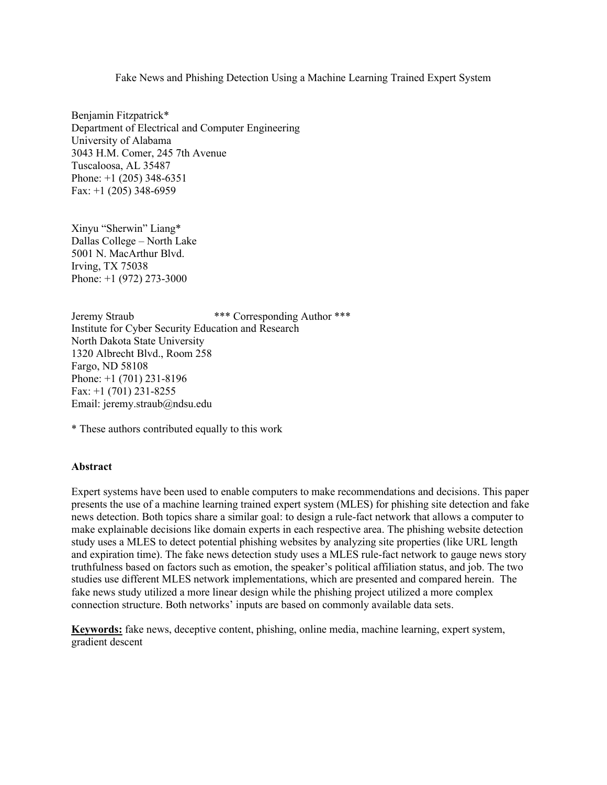#### Fake News and Phishing Detection Using a Machine Learning Trained Expert System

Benjamin Fitzpatrick\* Department of Electrical and Computer Engineering University of Alabama 3043 H.M. Comer, 245 7th Avenue Tuscaloosa, AL 35487 Phone: +1 (205) 348-6351 Fax: +1 (205) 348-6959

Xinyu "Sherwin" Liang\* Dallas College – North Lake 5001 N. MacArthur Blvd. Irving, TX 75038 Phone: +1 (972) 273-3000

Jeremy Straub \*\*\* Corresponding Author \*\*\* Institute for Cyber Security Education and Research North Dakota State University 1320 Albrecht Blvd., Room 258 Fargo, ND 58108 Phone: +1 (701) 231-8196 Fax: +1 (701) 231-8255 Email: jeremy.straub@ndsu.edu

\* These authors contributed equally to this work

#### **Abstract**

Expert systems have been used to enable computers to make recommendations and decisions. This paper presents the use of a machine learning trained expert system (MLES) for phishing site detection and fake news detection. Both topics share a similar goal: to design a rule-fact network that allows a computer to make explainable decisions like domain experts in each respective area. The phishing website detection study uses a MLES to detect potential phishing websites by analyzing site properties (like URL length and expiration time). The fake news detection study uses a MLES rule-fact network to gauge news story truthfulness based on factors such as emotion, the speaker's political affiliation status, and job. The two studies use different MLES network implementations, which are presented and compared herein. The fake news study utilized a more linear design while the phishing project utilized a more complex connection structure. Both networks' inputs are based on commonly available data sets.

**Keywords:** fake news, deceptive content, phishing, online media, machine learning, expert system, gradient descent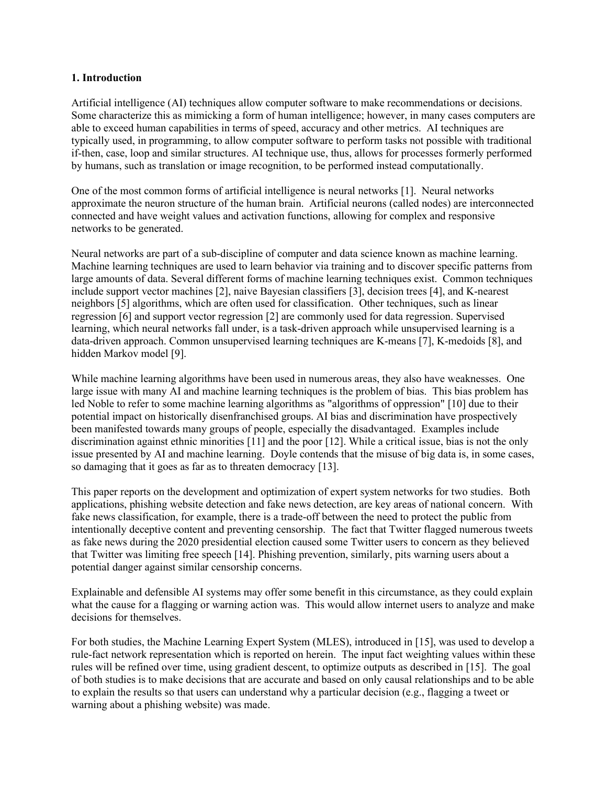#### **1. Introduction**

Artificial intelligence (AI) techniques allow computer software to make recommendations or decisions. Some characterize this as mimicking a form of human intelligence; however, in many cases computers are able to exceed human capabilities in terms of speed, accuracy and other metrics. AI techniques are typically used, in programming, to allow computer software to perform tasks not possible with traditional if-then, case, loop and similar structures. AI technique use, thus, allows for processes formerly performed by humans, such as translation or image recognition, to be performed instead computationally.

One of the most common forms of artificial intelligence is neural networks [1]. Neural networks approximate the neuron structure of the human brain. Artificial neurons (called nodes) are interconnected connected and have weight values and activation functions, allowing for complex and responsive networks to be generated.

Neural networks are part of a sub-discipline of computer and data science known as machine learning. Machine learning techniques are used to learn behavior via training and to discover specific patterns from large amounts of data. Several different forms of machine learning techniques exist. Common techniques include support vector machines [2], naive Bayesian classifiers [3], decision trees [4], and K-nearest neighbors [5] algorithms, which are often used for classification. Other techniques, such as linear regression [6] and support vector regression [2] are commonly used for data regression. Supervised learning, which neural networks fall under, is a task-driven approach while unsupervised learning is a data-driven approach. Common unsupervised learning techniques are K-means [7], K-medoids [8], and hidden Markov model [9].

While machine learning algorithms have been used in numerous areas, they also have weaknesses. One large issue with many AI and machine learning techniques is the problem of bias. This bias problem has led Noble to refer to some machine learning algorithms as "algorithms of oppression" [10] due to their potential impact on historically disenfranchised groups. AI bias and discrimination have prospectively been manifested towards many groups of people, especially the disadvantaged. Examples include discrimination against ethnic minorities [11] and the poor [12]. While a critical issue, bias is not the only issue presented by AI and machine learning. Doyle contends that the misuse of big data is, in some cases, so damaging that it goes as far as to threaten democracy [13].

This paper reports on the development and optimization of expert system networks for two studies. Both applications, phishing website detection and fake news detection, are key areas of national concern. With fake news classification, for example, there is a trade-off between the need to protect the public from intentionally deceptive content and preventing censorship. The fact that Twitter flagged numerous tweets as fake news during the 2020 presidential election caused some Twitter users to concern as they believed that Twitter was limiting free speech [14]. Phishing prevention, similarly, pits warning users about a potential danger against similar censorship concerns.

Explainable and defensible AI systems may offer some benefit in this circumstance, as they could explain what the cause for a flagging or warning action was. This would allow internet users to analyze and make decisions for themselves.

For both studies, the Machine Learning Expert System (MLES), introduced in [15], was used to develop a rule-fact network representation which is reported on herein. The input fact weighting values within these rules will be refined over time, using gradient descent, to optimize outputs as described in [15]. The goal of both studies is to make decisions that are accurate and based on only causal relationships and to be able to explain the results so that users can understand why a particular decision (e.g., flagging a tweet or warning about a phishing website) was made.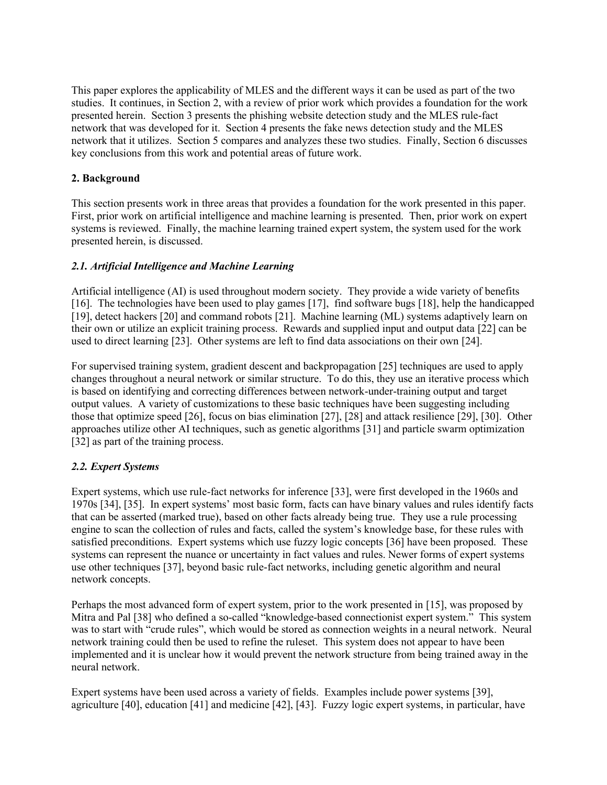This paper explores the applicability of MLES and the different ways it can be used as part of the two studies. It continues, in Section 2, with a review of prior work which provides a foundation for the work presented herein. Section 3 presents the phishing website detection study and the MLES rule-fact network that was developed for it. Section 4 presents the fake news detection study and the MLES network that it utilizes. Section 5 compares and analyzes these two studies. Finally, Section 6 discusses key conclusions from this work and potential areas of future work.

## **2. Background**

This section presents work in three areas that provides a foundation for the work presented in this paper. First, prior work on artificial intelligence and machine learning is presented. Then, prior work on expert systems is reviewed. Finally, the machine learning trained expert system, the system used for the work presented herein, is discussed.

# *2.1. Artificial Intelligence and Machine Learning*

Artificial intelligence (AI) is used throughout modern society. They provide a wide variety of benefits [16]. The technologies have been used to play games [17], find software bugs [18], help the handicapped [19], detect hackers [20] and command robots [21]. Machine learning (ML) systems adaptively learn on their own or utilize an explicit training process. Rewards and supplied input and output data [22] can be used to direct learning [23]. Other systems are left to find data associations on their own [24].

For supervised training system, gradient descent and backpropagation [25] techniques are used to apply changes throughout a neural network or similar structure. To do this, they use an iterative process which is based on identifying and correcting differences between network-under-training output and target output values. A variety of customizations to these basic techniques have been suggesting including those that optimize speed [26], focus on bias elimination [27], [28] and attack resilience [29], [30]. Other approaches utilize other AI techniques, such as genetic algorithms [31] and particle swarm optimization [32] as part of the training process.

# *2.2. Expert Systems*

Expert systems, which use rule-fact networks for inference [33], were first developed in the 1960s and 1970s [34], [35]. In expert systems' most basic form, facts can have binary values and rules identify facts that can be asserted (marked true), based on other facts already being true. They use a rule processing engine to scan the collection of rules and facts, called the system's knowledge base, for these rules with satisfied preconditions. Expert systems which use fuzzy logic concepts [36] have been proposed. These systems can represent the nuance or uncertainty in fact values and rules. Newer forms of expert systems use other techniques [37], beyond basic rule-fact networks, including genetic algorithm and neural network concepts.

Perhaps the most advanced form of expert system, prior to the work presented in [15], was proposed by Mitra and Pal [38] who defined a so-called "knowledge-based connectionist expert system." This system was to start with "crude rules", which would be stored as connection weights in a neural network. Neural network training could then be used to refine the ruleset. This system does not appear to have been implemented and it is unclear how it would prevent the network structure from being trained away in the neural network.

Expert systems have been used across a variety of fields. Examples include power systems [39], agriculture [40], education [41] and medicine [42], [43]. Fuzzy logic expert systems, in particular, have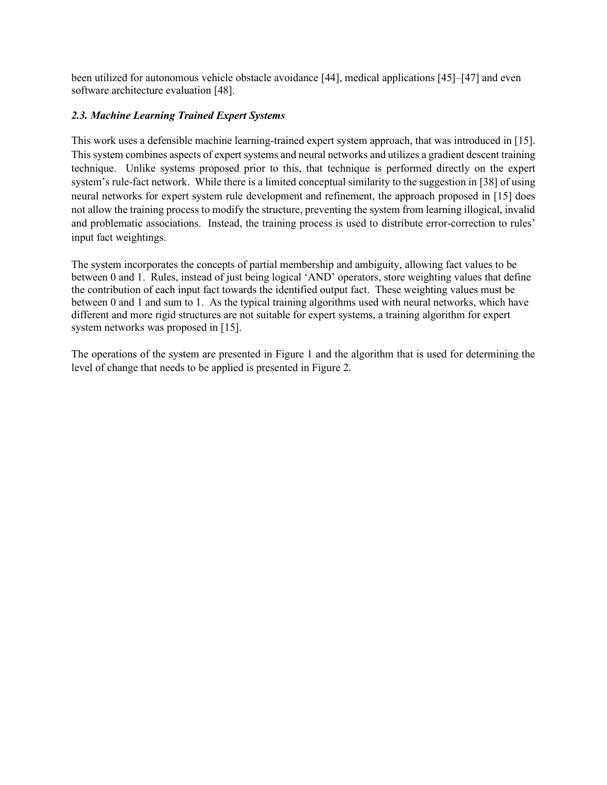been utilized for autonomous vehicle obstacle avoidance [44], medical applications [45]–[47] and even software architecture evaluation [48].

# *2.3. Machine Learning Trained Expert Systems*

This work uses a defensible machine learning-trained expert system approach, that was introduced in [15]. This system combines aspects of expert systems and neural networks and utilizes a gradient descent training technique. Unlike systems proposed prior to this, that technique is performed directly on the expert system's rule-fact network. While there is a limited conceptual similarity to the suggestion in [38] of using neural networks for expert system rule development and refinement, the approach proposed in [15] does not allow the training process to modify the structure, preventing the system from learning illogical, invalid and problematic associations. Instead, the training process is used to distribute error-correction to rules' input fact weightings.

The system incorporates the concepts of partial membership and ambiguity, allowing fact values to be between 0 and 1. Rules, instead of just being logical 'AND' operators, store weighting values that define the contribution of each input fact towards the identified output fact. These weighting values must be between 0 and 1 and sum to 1. As the typical training algorithms used with neural networks, which have different and more rigid structures are not suitable for expert systems, a training algorithm for expert system networks was proposed in [15].

The operations of the system are presented in Figure 1 and the algorithm that is used for determining the level of change that needs to be applied is presented in Figure 2.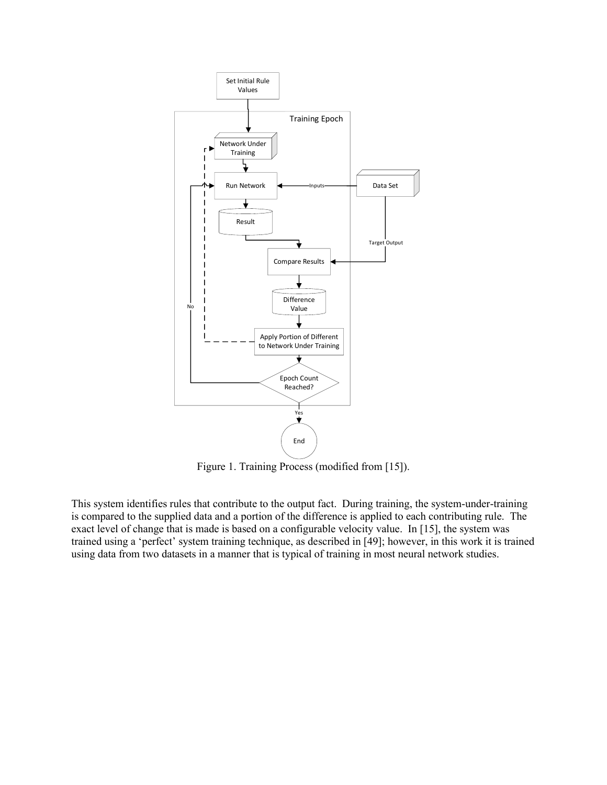

Figure 1. Training Process (modified from [15]).

This system identifies rules that contribute to the output fact. During training, the system-under-training is compared to the supplied data and a portion of the difference is applied to each contributing rule. The exact level of change that is made is based on a configurable velocity value. In [15], the system was trained using a 'perfect' system training technique, as described in [49]; however, in this work it is trained using data from two datasets in a manner that is typical of training in most neural network studies.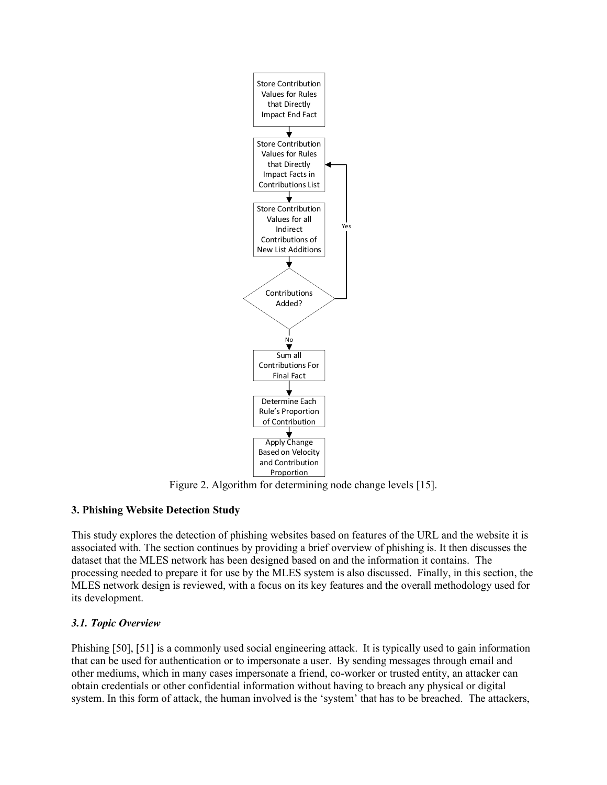

Figure 2. Algorithm for determining node change levels [15].

# **3. Phishing Website Detection Study**

This study explores the detection of phishing websites based on features of the URL and the website it is associated with. The section continues by providing a brief overview of phishing is. It then discusses the dataset that the MLES network has been designed based on and the information it contains. The processing needed to prepare it for use by the MLES system is also discussed. Finally, in this section, the MLES network design is reviewed, with a focus on its key features and the overall methodology used for its development.

# *3.1. Topic Overview*

Phishing [50], [51] is a commonly used social engineering attack. It is typically used to gain information that can be used for authentication or to impersonate a user. By sending messages through email and other mediums, which in many cases impersonate a friend, co-worker or trusted entity, an attacker can obtain credentials or other confidential information without having to breach any physical or digital system. In this form of attack, the human involved is the 'system' that has to be breached. The attackers,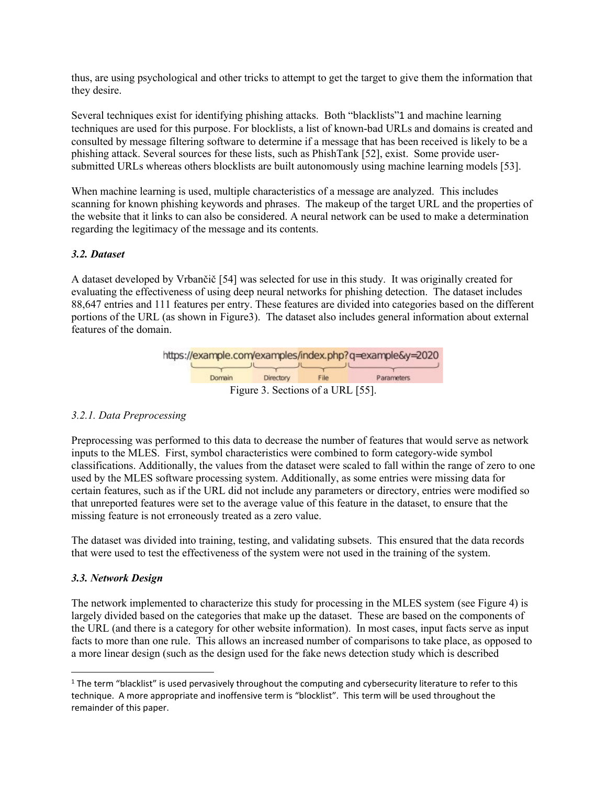thus, are using psychological and other tricks to attempt to get the target to give them the information that they desire.

Several techniques exist for identifying phishing attacks. Both "blacklists"1 and machine learning techniques are used for this purpose. For blocklists, a list of known-bad URLs and domains is created and consulted by message filtering software to determine if a message that has been received is likely to be a phishing attack. Several sources for these lists, such as PhishTank [52], exist. Some provide usersubmitted URLs whereas others blocklists are built autonomously using machine learning models [53].

When machine learning is used, multiple characteristics of a message are analyzed. This includes scanning for known phishing keywords and phrases. The makeup of the target URL and the properties of the website that it links to can also be considered. A neural network can be used to make a determination regarding the legitimacy of the message and its contents.

# *3.2. Dataset*

A dataset developed by Vrbančič [54] was selected for use in this study. It was originally created for evaluating the effectiveness of using deep neural networks for phishing detection. The dataset includes 88,647 entries and 111 features per entry. These features are divided into categories based on the different portions of the URL (as shown in Figure3). The dataset also includes general information about external features of the domain.



### *3.2.1. Data Preprocessing*

Preprocessing was performed to this data to decrease the number of features that would serve as network inputs to the MLES. First, symbol characteristics were combined to form category-wide symbol classifications. Additionally, the values from the dataset were scaled to fall within the range of zero to one used by the MLES software processing system. Additionally, as some entries were missing data for certain features, such as if the URL did not include any parameters or directory, entries were modified so that unreported features were set to the average value of this feature in the dataset, to ensure that the missing feature is not erroneously treated as a zero value.

The dataset was divided into training, testing, and validating subsets. This ensured that the data records that were used to test the effectiveness of the system were not used in the training of the system.

### *3.3. Network Design*

The network implemented to characterize this study for processing in the MLES system (see Figure 4) is largely divided based on the categories that make up the dataset. These are based on the components of the URL (and there is a category for other website information). In most cases, input facts serve as input facts to more than one rule. This allows an increased number of comparisons to take place, as opposed to a more linear design (such as the design used for the fake news detection study which is described

<sup>&</sup>lt;sup>1</sup> The term "blacklist" is used pervasively throughout the computing and cybersecurity literature to refer to this technique. A more appropriate and inoffensive term is "blocklist". This term will be used throughout the remainder of this paper.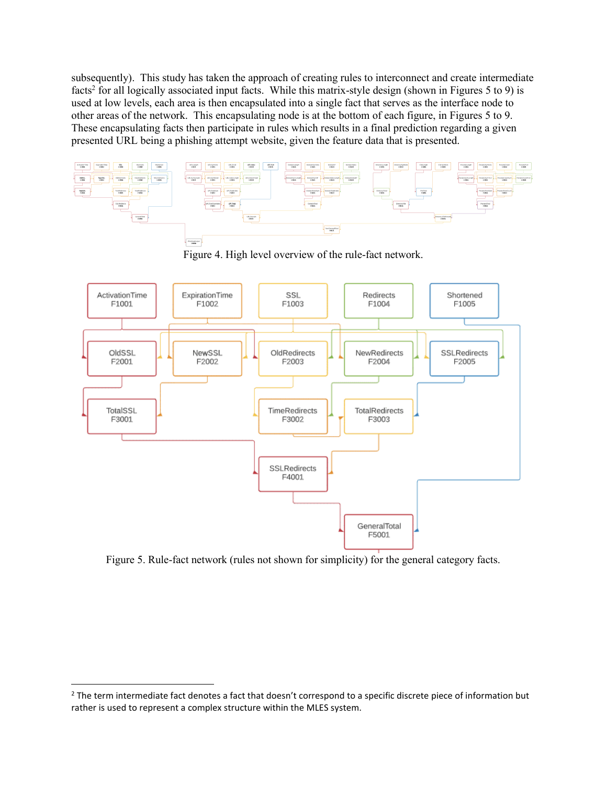subsequently). This study has taken the approach of creating rules to interconnect and create intermediate facts<sup>2</sup> for all logically associated input facts. While this matrix-style design (shown in Figures 5 to 9) is used at low levels, each area is then encapsulated into a single fact that serves as the interface node to other areas of the network. This encapsulating node is at the bottom of each figure, in Figures 5 to 9. These encapsulating facts then participate in rules which results in a final prediction regarding a given presented URL being a phishing attempt website, given the feature data that is presented.



Figure 4. High level overview of the rule-fact network.



Figure 5. Rule-fact network (rules not shown for simplicity) for the general category facts.

 $2$  The term intermediate fact denotes a fact that doesn't correspond to a specific discrete piece of information but rather is used to represent a complex structure within the MLES system.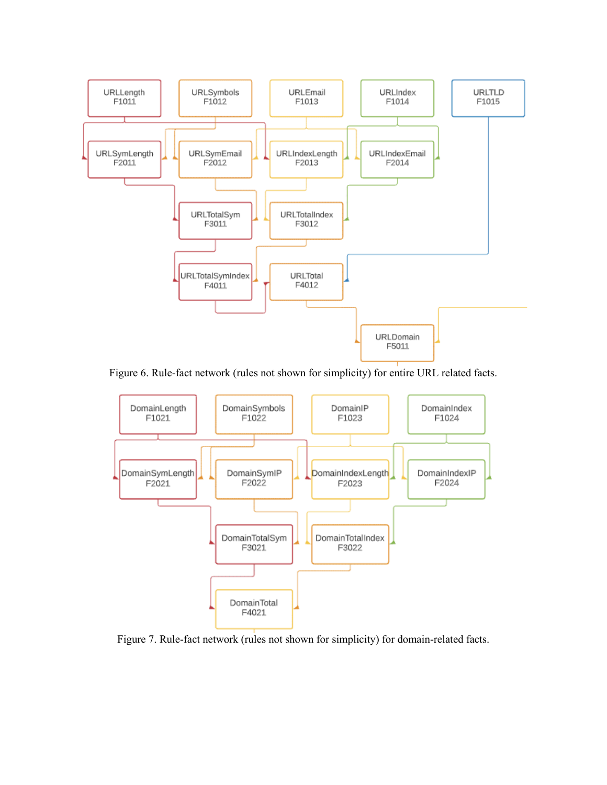

Figure 6. Rule-fact network (rules not shown for simplicity) for entire URL related facts.



Figure 7. Rule-fact network (rules not shown for simplicity) for domain-related facts.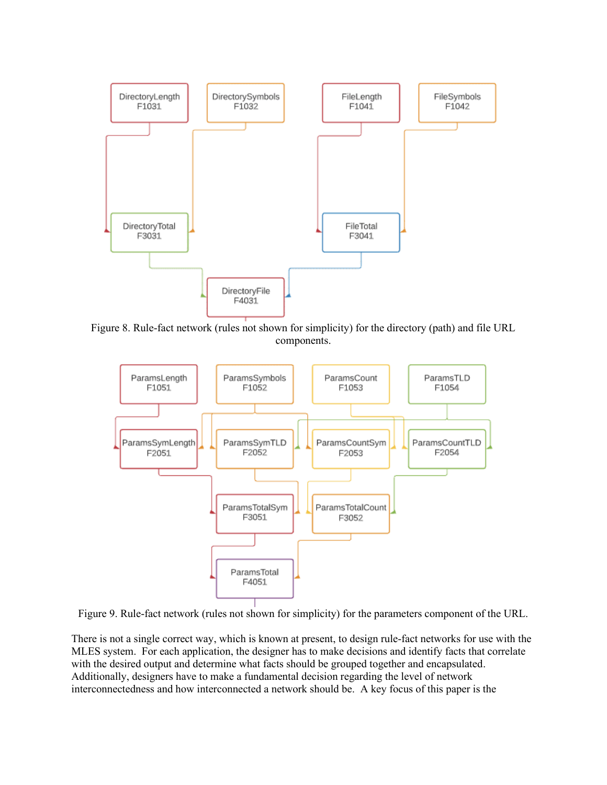

Figure 8. Rule-fact network (rules not shown for simplicity) for the directory (path) and file URL components.



Figure 9. Rule-fact network (rules not shown for simplicity) for the parameters component of the URL.

There is not a single correct way, which is known at present, to design rule-fact networks for use with the MLES system. For each application, the designer has to make decisions and identify facts that correlate with the desired output and determine what facts should be grouped together and encapsulated. Additionally, designers have to make a fundamental decision regarding the level of network interconnectedness and how interconnected a network should be. A key focus of this paper is the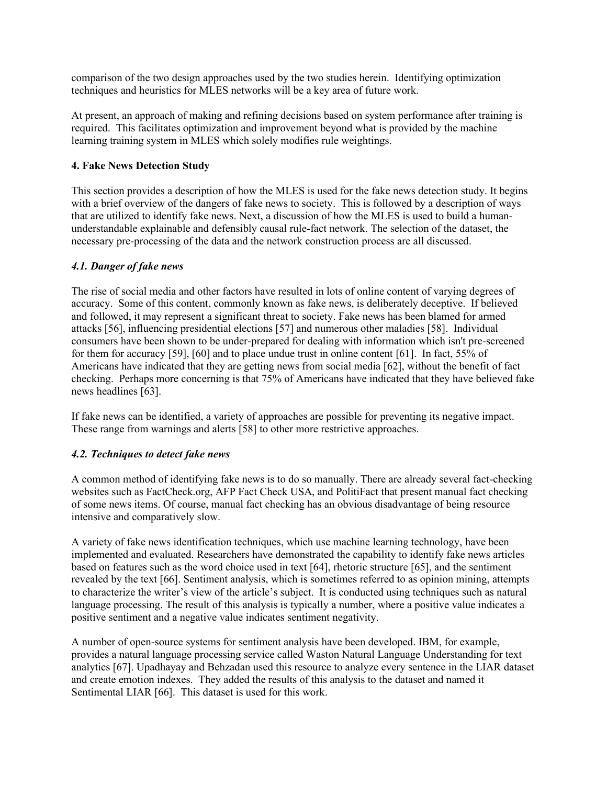comparison of the two design approaches used by the two studies herein. Identifying optimization techniques and heuristics for MLES networks will be a key area of future work.

At present, an approach of making and refining decisions based on system performance after training is required. This facilitates optimization and improvement beyond what is provided by the machine learning training system in MLES which solely modifies rule weightings.

# **4. Fake News Detection Study**

This section provides a description of how the MLES is used for the fake news detection study. It begins with a brief overview of the dangers of fake news to society. This is followed by a description of ways that are utilized to identify fake news. Next, a discussion of how the MLES is used to build a humanunderstandable explainable and defensibly causal rule-fact network. The selection of the dataset, the necessary pre-processing of the data and the network construction process are all discussed.

# *4.1. Danger of fake news*

The rise of social media and other factors have resulted in lots of online content of varying degrees of accuracy. Some of this content, commonly known as fake news, is deliberately deceptive. If believed and followed, it may represent a significant threat to society. Fake news has been blamed for armed attacks [56], influencing presidential elections [57] and numerous other maladies [58]. Individual consumers have been shown to be under-prepared for dealing with information which isn't pre-screened for them for accuracy [59], [60] and to place undue trust in online content [61]. In fact, 55% of Americans have indicated that they are getting news from social media [62], without the benefit of fact checking. Perhaps more concerning is that 75% of Americans have indicated that they have believed fake news headlines [63].

If fake news can be identified, a variety of approaches are possible for preventing its negative impact. These range from warnings and alerts [58] to other more restrictive approaches.

### *4.2. Techniques to detect fake news*

A common method of identifying fake news is to do so manually. There are already several fact-checking websites such as FactCheck.org, AFP Fact Check USA, and PolitiFact that present manual fact checking of some news items. Of course, manual fact checking has an obvious disadvantage of being resource intensive and comparatively slow.

A variety of fake news identification techniques, which use machine learning technology, have been implemented and evaluated. Researchers have demonstrated the capability to identify fake news articles based on features such as the word choice used in text [64], rhetoric structure [65], and the sentiment revealed by the text [66]. Sentiment analysis, which is sometimes referred to as opinion mining, attempts to characterize the writer's view of the article's subject. It is conducted using techniques such as natural language processing. The result of this analysis is typically a number, where a positive value indicates a positive sentiment and a negative value indicates sentiment negativity.

A number of open-source systems for sentiment analysis have been developed. IBM, for example, provides a natural language processing service called Waston Natural Language Understanding for text analytics [67]. Upadhayay and Behzadan used this resource to analyze every sentence in the LIAR dataset and create emotion indexes. They added the results of this analysis to the dataset and named it Sentimental LIAR [66]. This dataset is used for this work.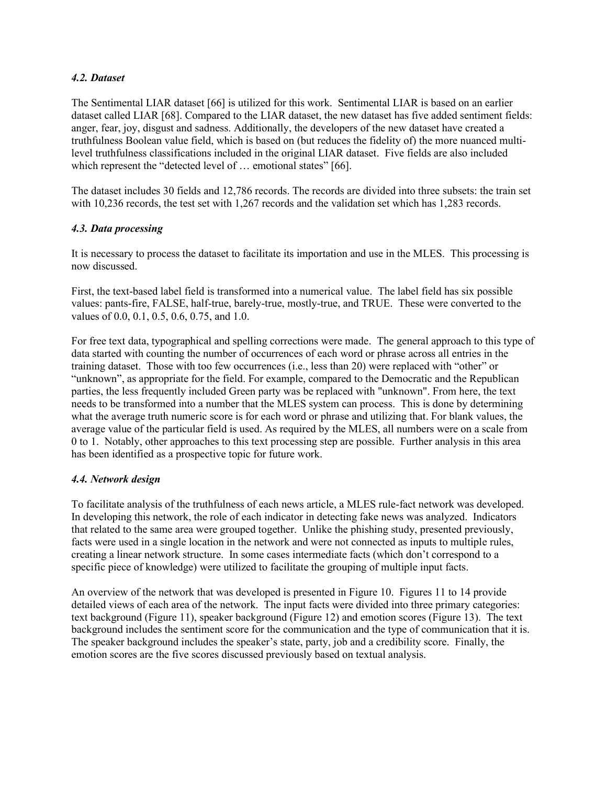## *4.2. Dataset*

The Sentimental LIAR dataset [66] is utilized for this work. Sentimental LIAR is based on an earlier dataset called LIAR [68]. Compared to the LIAR dataset, the new dataset has five added sentiment fields: anger, fear, joy, disgust and sadness. Additionally, the developers of the new dataset have created a truthfulness Boolean value field, which is based on (but reduces the fidelity of) the more nuanced multilevel truthfulness classifications included in the original LIAR dataset. Five fields are also included which represent the "detected level of ... emotional states" [66].

The dataset includes 30 fields and 12,786 records. The records are divided into three subsets: the train set with 10,236 records, the test set with 1,267 records and the validation set which has 1,283 records.

# *4.3. Data processing*

It is necessary to process the dataset to facilitate its importation and use in the MLES. This processing is now discussed.

First, the text-based label field is transformed into a numerical value. The label field has six possible values: pants-fire, FALSE, half-true, barely-true, mostly-true, and TRUE. These were converted to the values of 0.0, 0.1, 0.5, 0.6, 0.75, and 1.0.

For free text data, typographical and spelling corrections were made. The general approach to this type of data started with counting the number of occurrences of each word or phrase across all entries in the training dataset. Those with too few occurrences (i.e., less than 20) were replaced with "other" or "unknown", as appropriate for the field. For example, compared to the Democratic and the Republican parties, the less frequently included Green party was be replaced with "unknown". From here, the text needs to be transformed into a number that the MLES system can process. This is done by determining what the average truth numeric score is for each word or phrase and utilizing that. For blank values, the average value of the particular field is used. As required by the MLES, all numbers were on a scale from 0 to 1. Notably, other approaches to this text processing step are possible. Further analysis in this area has been identified as a prospective topic for future work.

### *4.4. Network design*

To facilitate analysis of the truthfulness of each news article, a MLES rule-fact network was developed. In developing this network, the role of each indicator in detecting fake news was analyzed. Indicators that related to the same area were grouped together. Unlike the phishing study, presented previously, facts were used in a single location in the network and were not connected as inputs to multiple rules, creating a linear network structure. In some cases intermediate facts (which don't correspond to a specific piece of knowledge) were utilized to facilitate the grouping of multiple input facts.

An overview of the network that was developed is presented in Figure 10. Figures 11 to 14 provide detailed views of each area of the network. The input facts were divided into three primary categories: text background (Figure 11), speaker background (Figure 12) and emotion scores (Figure 13). The text background includes the sentiment score for the communication and the type of communication that it is. The speaker background includes the speaker's state, party, job and a credibility score. Finally, the emotion scores are the five scores discussed previously based on textual analysis.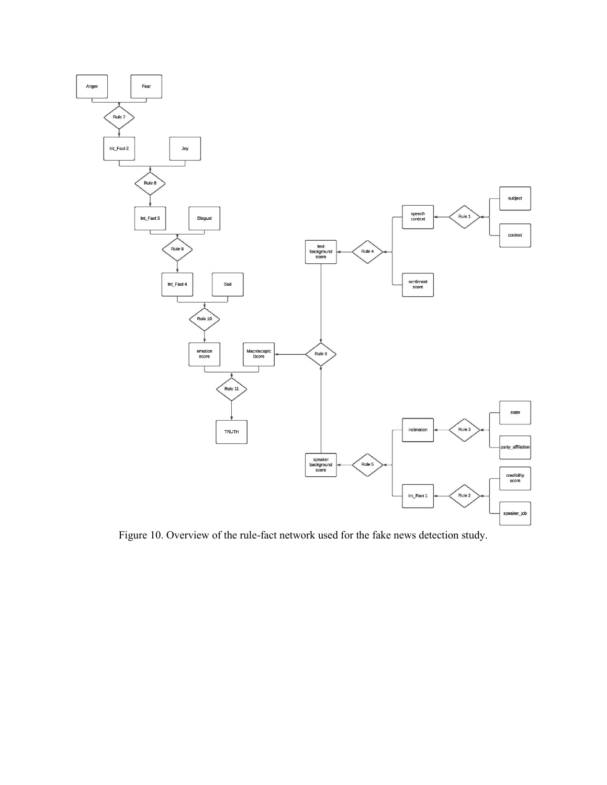

Figure 10. Overview of the rule-fact network used for the fake news detection study.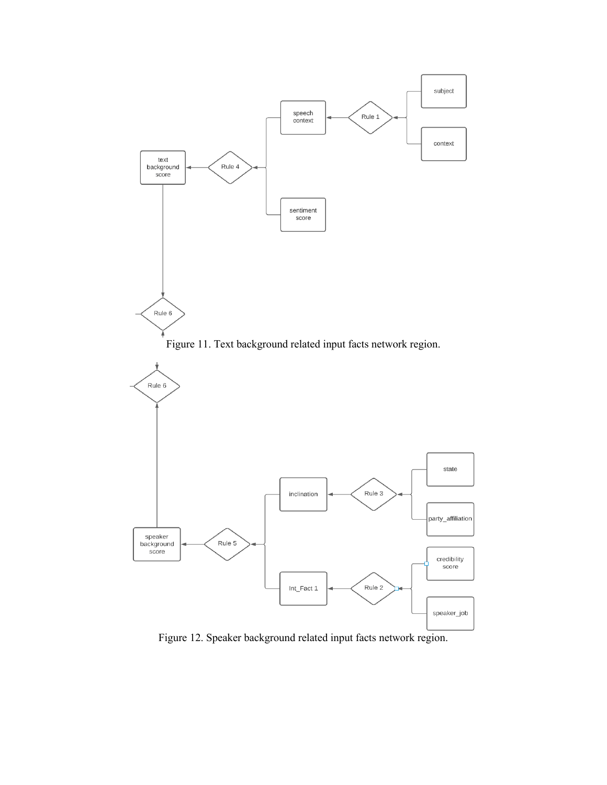

Figure 12. Speaker background related input facts network region.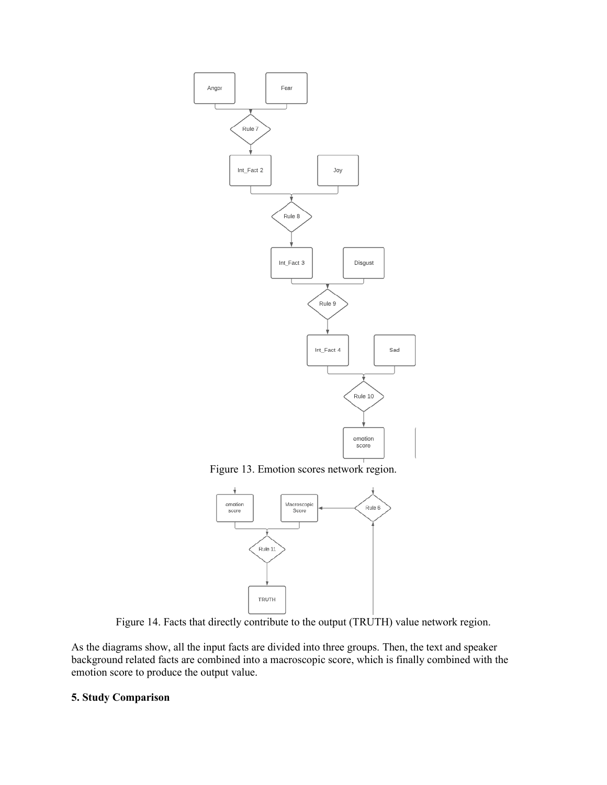

Figure 13. Emotion scores network region.



Figure 14. Facts that directly contribute to the output (TRUTH) value network region.

As the diagrams show, all the input facts are divided into three groups. Then, the text and speaker background related facts are combined into a macroscopic score, which is finally combined with the emotion score to produce the output value.

### **5. Study Comparison**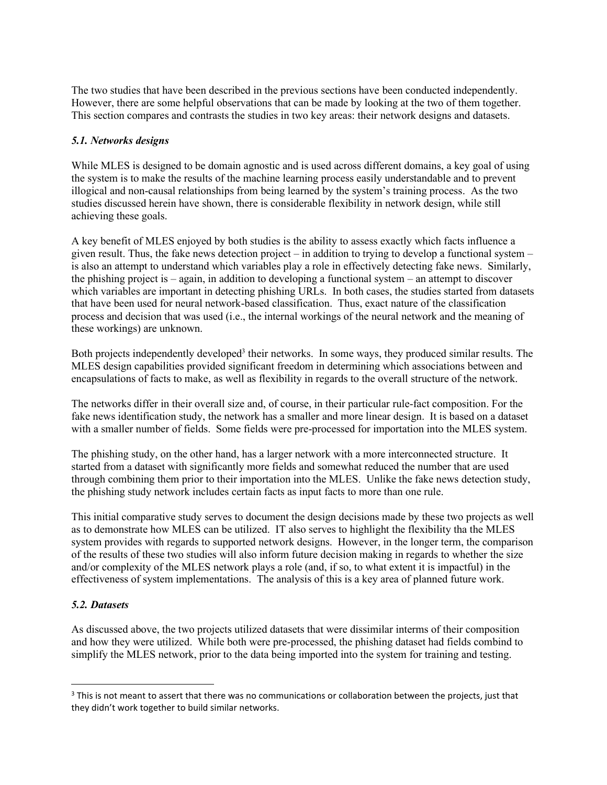The two studies that have been described in the previous sections have been conducted independently. However, there are some helpful observations that can be made by looking at the two of them together. This section compares and contrasts the studies in two key areas: their network designs and datasets.

# *5.1. Networks designs*

While MLES is designed to be domain agnostic and is used across different domains, a key goal of using the system is to make the results of the machine learning process easily understandable and to prevent illogical and non-causal relationships from being learned by the system's training process. As the two studies discussed herein have shown, there is considerable flexibility in network design, while still achieving these goals.

A key benefit of MLES enjoyed by both studies is the ability to assess exactly which facts influence a given result. Thus, the fake news detection project – in addition to trying to develop a functional system – is also an attempt to understand which variables play a role in effectively detecting fake news. Similarly, the phishing project is – again, in addition to developing a functional system – an attempt to discover which variables are important in detecting phishing URLs. In both cases, the studies started from datasets that have been used for neural network-based classification. Thus, exact nature of the classification process and decision that was used (i.e., the internal workings of the neural network and the meaning of these workings) are unknown.

Both projects independently developed<sup>3</sup> their networks. In some ways, they produced similar results. The MLES design capabilities provided significant freedom in determining which associations between and encapsulations of facts to make, as well as flexibility in regards to the overall structure of the network.

The networks differ in their overall size and, of course, in their particular rule-fact composition. For the fake news identification study, the network has a smaller and more linear design. It is based on a dataset with a smaller number of fields. Some fields were pre-processed for importation into the MLES system.

The phishing study, on the other hand, has a larger network with a more interconnected structure. It started from a dataset with significantly more fields and somewhat reduced the number that are used through combining them prior to their importation into the MLES. Unlike the fake news detection study, the phishing study network includes certain facts as input facts to more than one rule.

This initial comparative study serves to document the design decisions made by these two projects as well as to demonstrate how MLES can be utilized. IT also serves to highlight the flexibility tha the MLES system provides with regards to supported network designs. However, in the longer term, the comparison of the results of these two studies will also inform future decision making in regards to whether the size and/or complexity of the MLES network plays a role (and, if so, to what extent it is impactful) in the effectiveness of system implementations. The analysis of this is a key area of planned future work.

### *5.2. Datasets*

As discussed above, the two projects utilized datasets that were dissimilar interms of their composition and how they were utilized. While both were pre-processed, the phishing dataset had fields combind to simplify the MLES network, prior to the data being imported into the system for training and testing.

<sup>&</sup>lt;sup>3</sup> This is not meant to assert that there was no communications or collaboration between the projects, just that they didn't work together to build similar networks.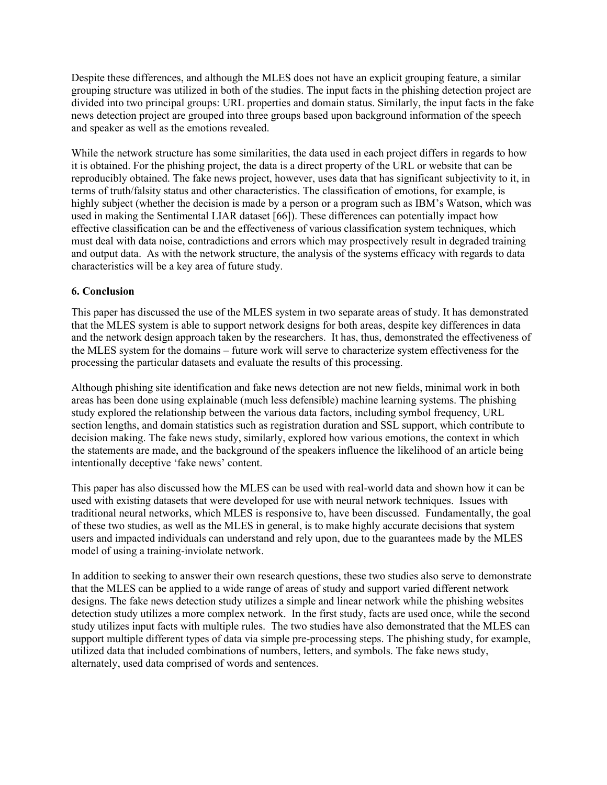Despite these differences, and although the MLES does not have an explicit grouping feature, a similar grouping structure was utilized in both of the studies. The input facts in the phishing detection project are divided into two principal groups: URL properties and domain status. Similarly, the input facts in the fake news detection project are grouped into three groups based upon background information of the speech and speaker as well as the emotions revealed.

While the network structure has some similarities, the data used in each project differs in regards to how it is obtained. For the phishing project, the data is a direct property of the URL or website that can be reproducibly obtained. The fake news project, however, uses data that has significant subjectivity to it, in terms of truth/falsity status and other characteristics. The classification of emotions, for example, is highly subject (whether the decision is made by a person or a program such as IBM's Watson, which was used in making the Sentimental LIAR dataset [66]). These differences can potentially impact how effective classification can be and the effectiveness of various classification system techniques, which must deal with data noise, contradictions and errors which may prospectively result in degraded training and output data. As with the network structure, the analysis of the systems efficacy with regards to data characteristics will be a key area of future study.

# **6. Conclusion**

This paper has discussed the use of the MLES system in two separate areas of study. It has demonstrated that the MLES system is able to support network designs for both areas, despite key differences in data and the network design approach taken by the researchers. It has, thus, demonstrated the effectiveness of the MLES system for the domains – future work will serve to characterize system effectiveness for the processing the particular datasets and evaluate the results of this processing.

Although phishing site identification and fake news detection are not new fields, minimal work in both areas has been done using explainable (much less defensible) machine learning systems. The phishing study explored the relationship between the various data factors, including symbol frequency, URL section lengths, and domain statistics such as registration duration and SSL support, which contribute to decision making. The fake news study, similarly, explored how various emotions, the context in which the statements are made, and the background of the speakers influence the likelihood of an article being intentionally deceptive 'fake news' content.

This paper has also discussed how the MLES can be used with real-world data and shown how it can be used with existing datasets that were developed for use with neural network techniques. Issues with traditional neural networks, which MLES is responsive to, have been discussed. Fundamentally, the goal of these two studies, as well as the MLES in general, is to make highly accurate decisions that system users and impacted individuals can understand and rely upon, due to the guarantees made by the MLES model of using a training-inviolate network.

In addition to seeking to answer their own research questions, these two studies also serve to demonstrate that the MLES can be applied to a wide range of areas of study and support varied different network designs. The fake news detection study utilizes a simple and linear network while the phishing websites detection study utilizes a more complex network. In the first study, facts are used once, while the second study utilizes input facts with multiple rules. The two studies have also demonstrated that the MLES can support multiple different types of data via simple pre-processing steps. The phishing study, for example, utilized data that included combinations of numbers, letters, and symbols. The fake news study, alternately, used data comprised of words and sentences.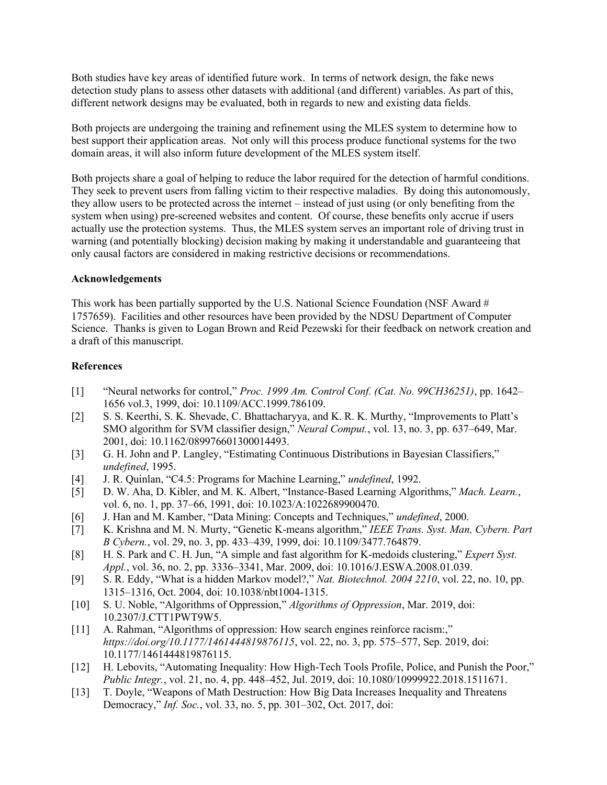Both studies have key areas of identified future work. In terms of network design, the fake news detection study plans to assess other datasets with additional (and different) variables. As part of this, different network designs may be evaluated, both in regards to new and existing data fields.

Both projects are undergoing the training and refinement using the MLES system to determine how to best support their application areas. Not only will this process produce functional systems for the two domain areas, it will also inform future development of the MLES system itself.

Both projects share a goal of helping to reduce the labor required for the detection of harmful conditions. They seek to prevent users from falling victim to their respective maladies. By doing this autonomously, they allow users to be protected across the internet – instead of just using (or only benefiting from the system when using) pre-screened websites and content. Of course, these benefits only accrue if users actually use the protection systems. Thus, the MLES system serves an important role of driving trust in warning (and potentially blocking) decision making by making it understandable and guaranteeing that only causal factors are considered in making restrictive decisions or recommendations.

### **Acknowledgements**

This work has been partially supported by the U.S. National Science Foundation (NSF Award # 1757659). Facilities and other resources have been provided by the NDSU Department of Computer Science. Thanks is given to Logan Brown and Reid Pezewski for their feedback on network creation and a draft of this manuscript.

### **References**

- [1] "Neural networks for control," *Proc. 1999 Am. Control Conf. (Cat. No. 99CH36251)*, pp. 1642– 1656 vol.3, 1999, doi: 10.1109/ACC.1999.786109.
- [2] S. S. Keerthi, S. K. Shevade, C. Bhattacharyya, and K. R. K. Murthy, "Improvements to Platt's SMO algorithm for SVM classifier design," *Neural Comput.*, vol. 13, no. 3, pp. 637–649, Mar. 2001, doi: 10.1162/089976601300014493.
- [3] G. H. John and P. Langley, "Estimating Continuous Distributions in Bayesian Classifiers," *undefined*, 1995.
- [4] J. R. Quinlan, "C4.5: Programs for Machine Learning," *undefined*, 1992.
- [5] D. W. Aha, D. Kibler, and M. K. Albert, "Instance-Based Learning Algorithms," *Mach. Learn.*, vol. 6, no. 1, pp. 37–66, 1991, doi: 10.1023/A:1022689900470.
- [6] J. Han and M. Kamber, "Data Mining: Concepts and Techniques," *undefined*, 2000.
- [7] K. Krishna and M. N. Murty, "Genetic K-means algorithm," *IEEE Trans. Syst. Man, Cybern. Part B Cybern.*, vol. 29, no. 3, pp. 433–439, 1999, doi: 10.1109/3477.764879.
- [8] H. S. Park and C. H. Jun, "A simple and fast algorithm for K-medoids clustering," *Expert Syst. Appl.*, vol. 36, no. 2, pp. 3336–3341, Mar. 2009, doi: 10.1016/J.ESWA.2008.01.039.
- [9] S. R. Eddy, "What is a hidden Markov model?," *Nat. Biotechnol. 2004 2210*, vol. 22, no. 10, pp. 1315–1316, Oct. 2004, doi: 10.1038/nbt1004-1315.
- [10] S. U. Noble, "Algorithms of Oppression," *Algorithms of Oppression*, Mar. 2019, doi: 10.2307/J.CTT1PWT9W5.
- [11] A. Rahman, "Algorithms of oppression: How search engines reinforce racism:," *https://doi.org/10.1177/1461444819876115*, vol. 22, no. 3, pp. 575–577, Sep. 2019, doi: 10.1177/1461444819876115.
- [12] H. Lebovits, "Automating Inequality: How High-Tech Tools Profile, Police, and Punish the Poor," *Public Integr.*, vol. 21, no. 4, pp. 448–452, Jul. 2019, doi: 10.1080/10999922.2018.1511671.
- [13] T. Doyle, "Weapons of Math Destruction: How Big Data Increases Inequality and Threatens Democracy," *Inf. Soc.*, vol. 33, no. 5, pp. 301–302, Oct. 2017, doi: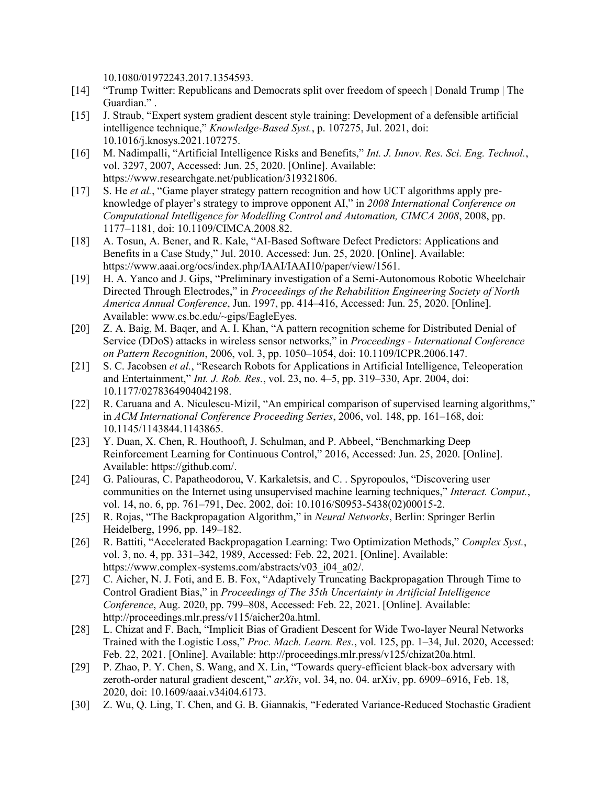10.1080/01972243.2017.1354593.

- [14] "Trump Twitter: Republicans and Democrats split over freedom of speech | Donald Trump | The Guardian." .
- [15] J. Straub, "Expert system gradient descent style training: Development of a defensible artificial intelligence technique," *Knowledge-Based Syst.*, p. 107275, Jul. 2021, doi: 10.1016/j.knosys.2021.107275.
- [16] M. Nadimpalli, "Artificial Intelligence Risks and Benefits," *Int. J. Innov. Res. Sci. Eng. Technol.*, vol. 3297, 2007, Accessed: Jun. 25, 2020. [Online]. Available: https://www.researchgate.net/publication/319321806.
- [17] S. He *et al.*, "Game player strategy pattern recognition and how UCT algorithms apply preknowledge of player's strategy to improve opponent AI," in *2008 International Conference on Computational Intelligence for Modelling Control and Automation, CIMCA 2008*, 2008, pp. 1177–1181, doi: 10.1109/CIMCA.2008.82.
- [18] A. Tosun, A. Bener, and R. Kale, "AI-Based Software Defect Predictors: Applications and Benefits in a Case Study," Jul. 2010. Accessed: Jun. 25, 2020. [Online]. Available: https://www.aaai.org/ocs/index.php/IAAI/IAAI10/paper/view/1561.
- [19] H. A. Yanco and J. Gips, "Preliminary investigation of a Semi-Autonomous Robotic Wheelchair Directed Through Electrodes," in *Proceedings of the Rehabilition Engineering Society of North America Annual Conference*, Jun. 1997, pp. 414–416, Accessed: Jun. 25, 2020. [Online]. Available: www.cs.bc.edu/~gips/EagleEyes.
- [20] Z. A. Baig, M. Bager, and A. I. Khan, "A pattern recognition scheme for Distributed Denial of Service (DDoS) attacks in wireless sensor networks," in *Proceedings - International Conference on Pattern Recognition*, 2006, vol. 3, pp. 1050–1054, doi: 10.1109/ICPR.2006.147.
- [21] S. C. Jacobsen *et al.*, "Research Robots for Applications in Artificial Intelligence, Teleoperation and Entertainment," *Int. J. Rob. Res.*, vol. 23, no. 4–5, pp. 319–330, Apr. 2004, doi: 10.1177/0278364904042198.
- [22] R. Caruana and A. Niculescu-Mizil, "An empirical comparison of supervised learning algorithms," in *ACM International Conference Proceeding Series*, 2006, vol. 148, pp. 161–168, doi: 10.1145/1143844.1143865.
- [23] Y. Duan, X. Chen, R. Houthooft, J. Schulman, and P. Abbeel, "Benchmarking Deep Reinforcement Learning for Continuous Control," 2016, Accessed: Jun. 25, 2020. [Online]. Available: https://github.com/.
- [24] G. Paliouras, C. Papatheodorou, V. Karkaletsis, and C. . Spyropoulos, "Discovering user communities on the Internet using unsupervised machine learning techniques," *Interact. Comput.*, vol. 14, no. 6, pp. 761–791, Dec. 2002, doi: 10.1016/S0953-5438(02)00015-2.
- [25] R. Rojas, "The Backpropagation Algorithm," in *Neural Networks*, Berlin: Springer Berlin Heidelberg, 1996, pp. 149–182.
- [26] R. Battiti, "Accelerated Backpropagation Learning: Two Optimization Methods," *Complex Syst.*, vol. 3, no. 4, pp. 331–342, 1989, Accessed: Feb. 22, 2021. [Online]. Available: https://www.complex-systems.com/abstracts/v03\_i04\_a02/.
- [27] C. Aicher, N. J. Foti, and E. B. Fox, "Adaptively Truncating Backpropagation Through Time to Control Gradient Bias," in *Proceedings of The 35th Uncertainty in Artificial Intelligence Conference*, Aug. 2020, pp. 799–808, Accessed: Feb. 22, 2021. [Online]. Available: http://proceedings.mlr.press/v115/aicher20a.html.
- [28] L. Chizat and F. Bach, "Implicit Bias of Gradient Descent for Wide Two-layer Neural Networks Trained with the Logistic Loss," *Proc. Mach. Learn. Res.*, vol. 125, pp. 1–34, Jul. 2020, Accessed: Feb. 22, 2021. [Online]. Available: http://proceedings.mlr.press/v125/chizat20a.html.
- [29] P. Zhao, P. Y. Chen, S. Wang, and X. Lin, "Towards query-efficient black-box adversary with zeroth-order natural gradient descent," *arXiv*, vol. 34, no. 04. arXiv, pp. 6909–6916, Feb. 18, 2020, doi: 10.1609/aaai.v34i04.6173.
- [30] Z. Wu, Q. Ling, T. Chen, and G. B. Giannakis, "Federated Variance-Reduced Stochastic Gradient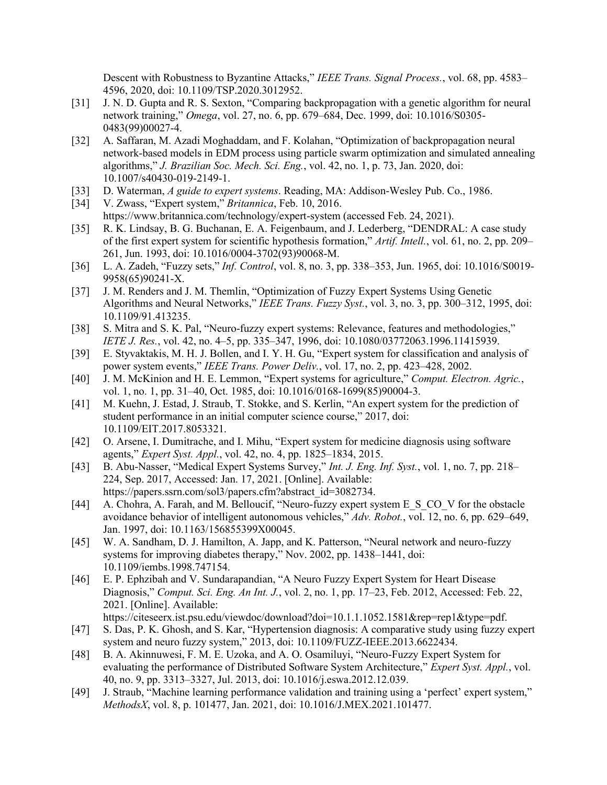Descent with Robustness to Byzantine Attacks," *IEEE Trans. Signal Process.*, vol. 68, pp. 4583– 4596, 2020, doi: 10.1109/TSP.2020.3012952.

- [31] J. N. D. Gupta and R. S. Sexton, "Comparing backpropagation with a genetic algorithm for neural network training," *Omega*, vol. 27, no. 6, pp. 679–684, Dec. 1999, doi: 10.1016/S0305- 0483(99)00027-4.
- [32] A. Saffaran, M. Azadi Moghaddam, and F. Kolahan, "Optimization of backpropagation neural network-based models in EDM process using particle swarm optimization and simulated annealing algorithms," *J. Brazilian Soc. Mech. Sci. Eng.*, vol. 42, no. 1, p. 73, Jan. 2020, doi: 10.1007/s40430-019-2149-1.
- [33] D. Waterman, *A guide to expert systems*. Reading, MA: Addison-Wesley Pub. Co., 1986.
- [34] V. Zwass, "Expert system," *Britannica*, Feb. 10, 2016. https://www.britannica.com/technology/expert-system (accessed Feb. 24, 2021).
- [35] R. K. Lindsay, B. G. Buchanan, E. A. Feigenbaum, and J. Lederberg, "DENDRAL: A case study of the first expert system for scientific hypothesis formation," *Artif. Intell.*, vol. 61, no. 2, pp. 209– 261, Jun. 1993, doi: 10.1016/0004-3702(93)90068-M.
- [36] L. A. Zadeh, "Fuzzy sets," *Inf. Control*, vol. 8, no. 3, pp. 338–353, Jun. 1965, doi: 10.1016/S0019- 9958(65)90241-X.
- [37] J. M. Renders and J. M. Themlin, "Optimization of Fuzzy Expert Systems Using Genetic Algorithms and Neural Networks," *IEEE Trans. Fuzzy Syst.*, vol. 3, no. 3, pp. 300–312, 1995, doi: 10.1109/91.413235.
- [38] S. Mitra and S. K. Pal, "Neuro-fuzzy expert systems: Relevance, features and methodologies," *IETE J. Res.*, vol. 42, no. 4–5, pp. 335–347, 1996, doi: 10.1080/03772063.1996.11415939.
- [39] E. Styvaktakis, M. H. J. Bollen, and I. Y. H. Gu, "Expert system for classification and analysis of power system events," *IEEE Trans. Power Deliv.*, vol. 17, no. 2, pp. 423–428, 2002.
- [40] J. M. McKinion and H. E. Lemmon, "Expert systems for agriculture," *Comput. Electron. Agric.*, vol. 1, no. 1, pp. 31–40, Oct. 1985, doi: 10.1016/0168-1699(85)90004-3.
- [41] M. Kuehn, J. Estad, J. Straub, T. Stokke, and S. Kerlin, "An expert system for the prediction of student performance in an initial computer science course," 2017, doi: 10.1109/EIT.2017.8053321.
- [42] O. Arsene, I. Dumitrache, and I. Mihu, "Expert system for medicine diagnosis using software agents," *Expert Syst. Appl.*, vol. 42, no. 4, pp. 1825–1834, 2015.
- [43] B. Abu-Nasser, "Medical Expert Systems Survey," *Int. J. Eng. Inf. Syst.*, vol. 1, no. 7, pp. 218– 224, Sep. 2017, Accessed: Jan. 17, 2021. [Online]. Available: https://papers.ssrn.com/sol3/papers.cfm?abstract\_id=3082734.
- [44] A. Chohra, A. Farah, and M. Belloucif, "Neuro-fuzzy expert system E\_S\_CO\_V for the obstacle avoidance behavior of intelligent autonomous vehicles," *Adv. Robot.*, vol. 12, no. 6, pp. 629–649, Jan. 1997, doi: 10.1163/156855399X00045.
- [45] W. A. Sandham, D. J. Hamilton, A. Japp, and K. Patterson, "Neural network and neuro-fuzzy systems for improving diabetes therapy," Nov. 2002, pp. 1438–1441, doi: 10.1109/iembs.1998.747154.
- [46] E. P. Ephzibah and V. Sundarapandian, "A Neuro Fuzzy Expert System for Heart Disease Diagnosis," *Comput. Sci. Eng. An Int. J.*, vol. 2, no. 1, pp. 17–23, Feb. 2012, Accessed: Feb. 22, 2021. [Online]. Available: https://citeseerx.ist.psu.edu/viewdoc/download?doi=10.1.1.1052.1581&rep=rep1&type=pdf.
- [47] S. Das, P. K. Ghosh, and S. Kar, "Hypertension diagnosis: A comparative study using fuzzy expert system and neuro fuzzy system," 2013, doi: 10.1109/FUZZ-IEEE.2013.6622434.
- [48] B. A. Akinnuwesi, F. M. E. Uzoka, and A. O. Osamiluyi, "Neuro-Fuzzy Expert System for evaluating the performance of Distributed Software System Architecture," *Expert Syst. Appl.*, vol. 40, no. 9, pp. 3313–3327, Jul. 2013, doi: 10.1016/j.eswa.2012.12.039.
- [49] J. Straub, "Machine learning performance validation and training using a 'perfect' expert system," *MethodsX*, vol. 8, p. 101477, Jan. 2021, doi: 10.1016/J.MEX.2021.101477.